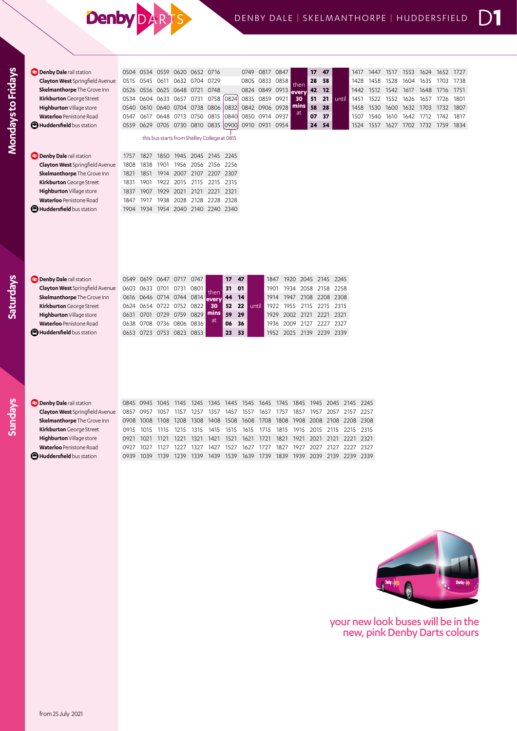## **Denby**

| <b>Denby Dale</b> rail station         | 0504 |                | 0534 0559           | 0620 0652 0716                                                        |      |                     |        | 0749                                    |                | 0817 0847 |      |                     | 17 | 47 |                | 1417           | 1447 | 1517 | 1553           | 1624           | 1652 | 1727 |
|----------------------------------------|------|----------------|---------------------|-----------------------------------------------------------------------|------|---------------------|--------|-----------------------------------------|----------------|-----------|------|---------------------|----|----|----------------|----------------|------|------|----------------|----------------|------|------|
| <b>Clayton West</b> Springfield Avenue |      | 0515 0545 0611 |                     | 0632 0704 0729                                                        |      |                     |        | 0805                                    | 0833 0858      |           |      |                     | 28 | 58 |                | 1428           | 1458 | 1528 | 1604           | 1635           | 1703 | 1738 |
| Skelmanthorpe The Grove Inn            | 0526 |                |                     | 0556 0625 0648 0721                                                   |      | 0748                |        |                                         | 0824 0849 0913 |           |      | then<br>every       | 42 | 12 |                | 1442           | 1512 | 1542 | 1617 1648      |                | 1716 | 1751 |
| Kirkburton George Street               |      |                |                     | 0534 0604 0633 0657 0731 0758                                         |      |                     | [0824] |                                         | 0835 0859 0921 |           |      | 30                  | 51 | 21 | until          | 1451           | 1522 | 1552 | 1626           | 1657           | 1726 | 1801 |
| Highburton Village store               | 0540 |                |                     | 0610 0640 0704 0738 0806 0832                                         |      |                     |        |                                         | 0842 0906 0928 |           |      | mins                | 58 | 28 |                | 1458           | 1530 |      | 1600 1632 1703 |                | 1732 | 1807 |
| <b>Waterloo</b> Penistone Road         | 0547 |                |                     | 0617 0648 0713 0750 0815                                              |      |                     | 0840   |                                         | 0850 0914 0937 |           |      | at                  | 07 | 37 |                | 1507           | 1540 | 1610 | 1642           | 1712           | 1742 | 1817 |
| <b>D</b> Huddersfield bus station      | 0559 |                |                     | 0629 0705 0730 0810 0835 0900                                         |      |                     |        |                                         | 0910 0931 0954 |           |      |                     | 24 | 54 |                | 1524           | 1557 | 1627 |                | 1702 1732 1759 |      | 1834 |
|                                        |      |                |                     | this bus starts from Shelley College at 0815                          |      |                     |        |                                         |                |           |      |                     |    |    |                |                |      |      |                |                |      |      |
|                                        |      |                |                     |                                                                       |      |                     |        |                                         |                |           |      |                     |    |    |                |                |      |      |                |                |      |      |
| <b>Denby Dale</b> rail station         | 1757 | 1827           | 1850                | 1945                                                                  |      | 2045 2145 2245      |        |                                         |                |           |      |                     |    |    |                |                |      |      |                |                |      |      |
| <b>Clayton West</b> Springfield Avenue | 1808 | 1838           | 1901                |                                                                       |      | 1956 2056 2156 2256 |        |                                         |                |           |      |                     |    |    |                |                |      |      |                |                |      |      |
| Skelmanthorpe The Grove Inn            | 1821 | 1851           |                     | 1914 2007 2107 2207 2307                                              |      |                     |        |                                         |                |           |      |                     |    |    |                |                |      |      |                |                |      |      |
| Kirkburton George Street               | 1831 | 1901           | 1922                | 2015                                                                  |      | 2115 2215 2315      |        |                                         |                |           |      |                     |    |    |                |                |      |      |                |                |      |      |
| Highburton Village store               | 1837 |                | 1907 1929           |                                                                       |      | 2021 2121 2221 2321 |        |                                         |                |           |      |                     |    |    |                |                |      |      |                |                |      |      |
| <b>Waterloo</b> Penistone Road         | 1847 | 1917           | 1938                | 2028                                                                  |      | 2128 2228 2328      |        |                                         |                |           |      |                     |    |    |                |                |      |      |                |                |      |      |
| <b>D</b> Huddersfield bus station      | 1904 |                |                     | 1934 1954 2040 2140 2240 2340                                         |      |                     |        |                                         |                |           |      |                     |    |    |                |                |      |      |                |                |      |      |
|                                        |      |                |                     |                                                                       |      |                     |        |                                         |                |           |      |                     |    |    |                |                |      |      |                |                |      |      |
|                                        |      |                |                     |                                                                       |      |                     |        |                                         |                |           |      |                     |    |    |                |                |      |      |                |                |      |      |
|                                        |      |                |                     |                                                                       |      |                     |        |                                         |                |           |      |                     |    |    |                |                |      |      |                |                |      |      |
| <b>Denby Dale</b> rail station         | 0549 | 0619           |                     | 0647 0717                                                             | 0747 |                     | 17     | 47                                      |                | 1847      | 1920 | 2045 2145 2245      |    |    |                |                |      |      |                |                |      |      |
| <b>Clayton West</b> Springfield Avenue | 0603 |                | 0633 0701 0731      |                                                                       | 0801 |                     | 31     | 01                                      |                | 1901      | 1934 | 2058                |    |    | 2158 2258      |                |      |      |                |                |      |      |
| Skelmanthorpe The Grove Inn            |      |                |                     | 0616 0646 0714 0744 0814                                              |      | then<br>every       | 44     | 14                                      |                | 1914      |      | 1947 2108 2208 2308 |    |    |                |                |      |      |                |                |      |      |
| Kirkburton George Street               |      |                | 0624 0654 0722 0752 |                                                                       | 0822 | 30                  | 52     | 22                                      | until          | 1922      | 1955 | 2115 2215 2315      |    |    |                |                |      |      |                |                |      |      |
| Highburton Village store               | 0631 |                | 0701 0729 0759      |                                                                       | 0829 | mins                | 59     | 29                                      |                | 1929      |      | 2002 2121 2221 2321 |    |    |                |                |      |      |                |                |      |      |
| <b>Waterloo</b> Penistone Road         | 0638 |                |                     | 0708 0736 0806 0836                                                   |      | at.                 | 06     | 36                                      |                | 1936      | 2009 |                     |    |    | 2127 2227 2327 |                |      |      |                |                |      |      |
| <b>D</b> Huddersfield bus station      |      |                |                     | 0653 0723 0753 0823 0853                                              |      |                     | 23     | 53                                      |                | 1952      |      | 2025 2139 2239 2339 |    |    |                |                |      |      |                |                |      |      |
|                                        |      |                |                     |                                                                       |      |                     |        |                                         |                |           |      |                     |    |    |                |                |      |      |                |                |      |      |
|                                        |      |                |                     |                                                                       |      |                     |        |                                         |                |           |      |                     |    |    |                |                |      |      |                |                |      |      |
|                                        |      |                |                     |                                                                       |      |                     |        |                                         |                |           |      |                     |    |    |                |                |      |      |                |                |      |      |
|                                        |      |                |                     |                                                                       |      |                     |        |                                         |                |           |      |                     |    |    |                |                |      |      |                |                |      |      |
|                                        |      |                |                     |                                                                       |      |                     |        |                                         |                |           |      |                     |    |    |                |                |      |      |                |                |      |      |
|                                        |      |                |                     |                                                                       |      |                     |        |                                         |                |           |      |                     |    |    |                |                |      |      |                |                |      |      |
|                                        |      |                |                     |                                                                       |      |                     |        |                                         |                |           |      |                     |    |    |                |                |      |      |                |                |      |      |
| <b>Denby Dale</b> rail station         |      |                | 0845 0945 1045 1145 |                                                                       |      |                     |        | 1245 1345 1445 1545 1645 1745 1845 1945 |                |           |      |                     |    |    |                | 2045 2145 2245 |      |      |                |                |      |      |
| Clayton West Springfield Avenue        |      |                |                     | 0857 0957 1057 1157 1257 1357 1457 1557 1657 1757 1857 1957 2057 2157 |      |                     |        |                                         |                |           |      |                     |    |    |                |                | 2257 |      |                |                |      |      |

| <b>Clayton West</b> Springfield Avent |
|---------------------------------------|
| Skelmanthorpe The Grove Inn           |
| Kirkburton George Street              |
| Highburton Village store              |
| <b>Waterloo</b> Penistone Road        |
| Huddersfield bus station              |
|                                       |

**Mondays to Fridays**

Mondays to Fridays

**Saturdays**

**Sundays**

| Denby Dale rail station            | 0845 0945 1045 1145 1245 1345 1445 1545 1645 1745 1845 1945 2045 2145 2245 |  |  |  |  |  |                                                                  |  |
|------------------------------------|----------------------------------------------------------------------------|--|--|--|--|--|------------------------------------------------------------------|--|
| Clayton West Springfield Avenue    | 0857 0957 1057 1157 1257 1357 1457 1557 1657 1757 1857 1957 2057 2157 2257 |  |  |  |  |  |                                                                  |  |
| <b>Skelmanthorpe</b> The Grove Inn | 0908 1008 1108 1208 1308 1408 1508 1608 1708 1808 1908 2008 2108 2208 2308 |  |  |  |  |  |                                                                  |  |
| Kirkburton George Street           | 0915 1015 1115 1215 1315 1415 1515 1615 1715 1815 1915 2015 2115 2215 2315 |  |  |  |  |  |                                                                  |  |
| Highburton Village store           | 0921 1021                                                                  |  |  |  |  |  | 1121 1221 1321 1421 1521 1621 1721 1821 1921 2021 2121 2221 2321 |  |
| <b>Waterloo</b> Penistone Road     | 0927 1027 1127 1227 1327 1427 1527 1627 1727 1827 1927 2027 2127 2227 2327 |  |  |  |  |  |                                                                  |  |
| Huddersfield bus station           | 0939 1039 1139 1239 1339 1439 1539 1639 1739 1839 1939 2039 2139 2239 2339 |  |  |  |  |  |                                                                  |  |



your new look buses will be in the new, pink Denby Darts colours